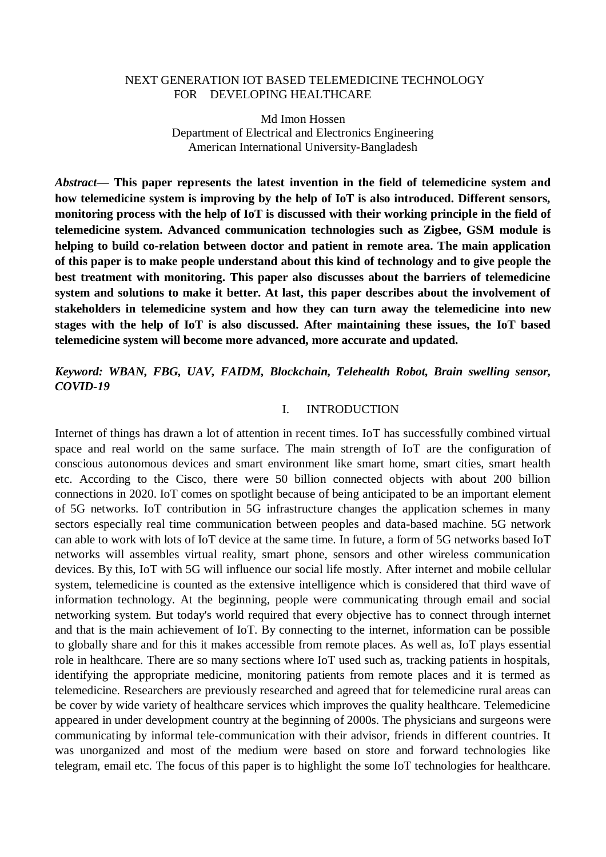### NEXT GENERATION IOT BASED TELEMEDICINE TECHNOLOGY FOR DEVELOPING HEALTHCARE

Md Imon Hossen Department of Electrical and Electronics Engineering American International University-Bangladesh

*Abstract—* **This paper represents the latest invention in the field of telemedicine system and how telemedicine system is improving by the help of IoT is also introduced. Different sensors, monitoring process with the help of IoT is discussed with their working principle in the field of telemedicine system. Advanced communication technologies such as Zigbee, GSM module is helping to build co-relation between doctor and patient in remote area. The main application of this paper is to make people understand about this kind of technology and to give people the best treatment with monitoring. This paper also discusses about the barriers of telemedicine system and solutions to make it better. At last, this paper describes about the involvement of stakeholders in telemedicine system and how they can turn away the telemedicine into new stages with the help of IoT is also discussed. After maintaining these issues, the IoT based telemedicine system will become more advanced, more accurate and updated.**

# *Keyword: WBAN, FBG, UAV, FAIDM, Blockchain, Telehealth Robot, Brain swelling sensor, COVID-19*

## I. INTRODUCTION

Internet of things has drawn a lot of attention in recent times. IoT has successfully combined virtual space and real world on the same surface. The main strength of IoT are the configuration of conscious autonomous devices and smart environment like smart home, smart cities, smart health etc. According to the Cisco, there were 50 billion connected objects with about 200 billion connections in 2020. IoT comes on spotlight because of being anticipated to be an important element of 5G networks. IoT contribution in 5G infrastructure changes the application schemes in many sectors especially real time communication between peoples and data-based machine. 5G network can able to work with lots of IoT device at the same time. In future, a form of 5G networks based IoT networks will assembles virtual reality, smart phone, sensors and other wireless communication devices. By this, IoT with 5G will influence our social life mostly. After internet and mobile cellular system, telemedicine is counted as the extensive intelligence which is considered that third wave of information technology. At the beginning, people were communicating through email and social networking system. But today's world required that every objective has to connect through internet and that is the main achievement of IoT. By connecting to the internet, information can be possible to globally share and for this it makes accessible from remote places. As well as, IoT plays essential role in healthcare. There are so many sections where IoT used such as, tracking patients in hospitals, identifying the appropriate medicine, monitoring patients from remote places and it is termed as telemedicine. Researchers are previously researched and agreed that for telemedicine rural areas can be cover by wide variety of healthcare services which improves the quality healthcare. Telemedicine appeared in under development country at the beginning of 2000s. The physicians and surgeons were communicating by informal tele-communication with their advisor, friends in different countries. It was unorganized and most of the medium were based on store and forward technologies like telegram, email etc. The focus of this paper is to highlight the some IoT technologies for healthcare.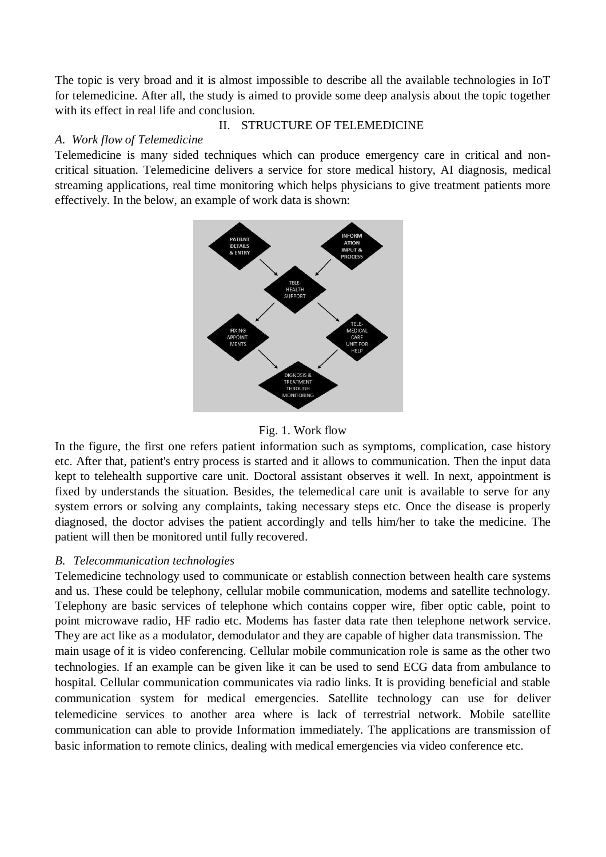The topic is very broad and it is almost impossible to describe all the available technologies in IoT for telemedicine. After all, the study is aimed to provide some deep analysis about the topic together with its effect in real life and conclusion.

## II. STRUCTURE OF TELEMEDICINE

## *A. Work flow of Telemedicine*

Telemedicine is many sided techniques which can produce emergency care in critical and noncritical situation. Telemedicine delivers a service for store medical history, AI diagnosis, medical streaming applications, real time monitoring which helps physicians to give treatment patients more effectively. In the below, an example of work data is shown:





In the figure, the first one refers patient information such as symptoms, complication, case history etc. After that, patient's entry process is started and it allows to communication. Then the input data kept to telehealth supportive care unit. Doctoral assistant observes it well. In next, appointment is fixed by understands the situation. Besides, the telemedical care unit is available to serve for any system errors or solving any complaints, taking necessary steps etc. Once the disease is properly diagnosed, the doctor advises the patient accordingly and tells him/her to take the medicine. The patient will then be monitored until fully recovered.

# *B. Telecommunication technologies*

Telemedicine technology used to communicate or establish connection between health care systems and us. These could be telephony, cellular mobile communication, modems and satellite technology. Telephony are basic services of telephone which contains copper wire, fiber optic cable, point to point microwave radio, HF radio etc. Modems has faster data rate then telephone network service. They are act like as a modulator, demodulator and they are capable of higher data transmission. The main usage of it is video conferencing. Cellular mobile communication role is same as the other two technologies. If an example can be given like it can be used to send ECG data from ambulance to hospital. Cellular communication communicates via radio links. It is providing beneficial and stable communication system for medical emergencies. Satellite technology can use for deliver telemedicine services to another area where is lack of terrestrial network. Mobile satellite communication can able to provide Information immediately. The applications are transmission of basic information to remote clinics, dealing with medical emergencies via video conference etc.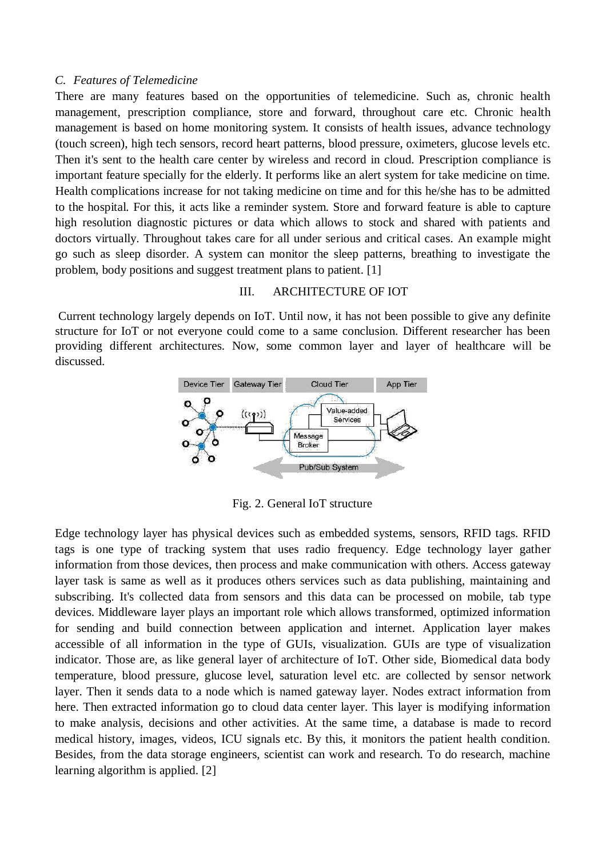#### *C. Features of Telemedicine*

There are many features based on the opportunities of telemedicine. Such as, chronic health management, prescription compliance, store and forward, throughout care etc. Chronic health management is based on home monitoring system. It consists of health issues, advance technology (touch screen), high tech sensors, record heart patterns, blood pressure, oximeters, glucose levels etc. Then it's sent to the health care center by wireless and record in cloud. Prescription compliance is important feature specially for the elderly. It performs like an alert system for take medicine on time. Health complications increase for not taking medicine on time and for this he/she has to be admitted to the hospital. For this, it acts like a reminder system. Store and forward feature is able to capture high resolution diagnostic pictures or data which allows to stock and shared with patients and doctors virtually. Throughout takes care for all under serious and critical cases. An example might go such as sleep disorder. A system can monitor the sleep patterns, breathing to investigate the problem, body positions and suggest treatment plans to patient. [1]

### III. ARCHITECTURE OF IOT

Current technology largely depends on IoT. Until now, it has not been possible to give any definite structure for IoT or not everyone could come to a same conclusion. Different researcher has been providing different architectures. Now, some common layer and layer of healthcare will be discussed.



Fig. 2. General IoT structure

Edge technology layer has physical devices such as embedded systems, sensors, RFID tags. RFID tags is one type of tracking system that uses radio frequency. Edge technology layer gather information from those devices, then process and make communication with others. Access gateway layer task is same as well as it produces others services such as data publishing, maintaining and subscribing. It's collected data from sensors and this data can be processed on mobile, tab type devices. Middleware layer plays an important role which allows transformed, optimized information for sending and build connection between application and internet. Application layer makes accessible of all information in the type of GUIs, visualization. GUIs are type of visualization indicator. Those are, as like general layer of architecture of IoT. Other side, Biomedical data body temperature, blood pressure, glucose level, saturation level etc. are collected by sensor network layer. Then it sends data to a node which is named gateway layer. Nodes extract information from here. Then extracted information go to cloud data center layer. This layer is modifying information to make analysis, decisions and other activities. At the same time, a database is made to record medical history, images, videos, ICU signals etc. By this, it monitors the patient health condition. Besides, from the data storage engineers, scientist can work and research. To do research, machine learning algorithm is applied. [2]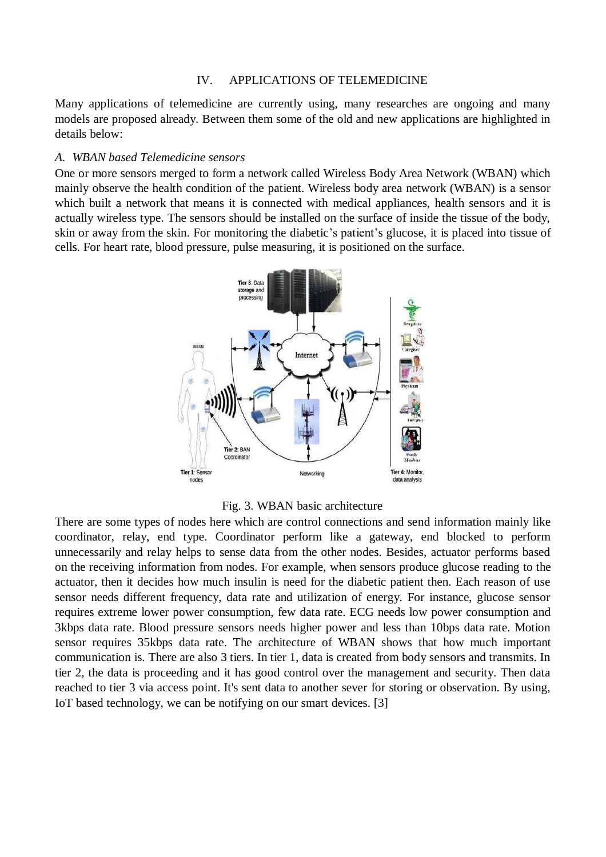#### IV. APPLICATIONS OF TELEMEDICINE

Many applications of telemedicine are currently using, many researches are ongoing and many models are proposed already. Between them some of the old and new applications are highlighted in details below:

#### *A. WBAN based Telemedicine sensors*

One or more sensors merged to form a network called Wireless Body Area Network (WBAN) which mainly observe the health condition of the patient. Wireless body area network (WBAN) is a sensor which built a network that means it is connected with medical appliances, health sensors and it is actually wireless type. The sensors should be installed on the surface of inside the tissue of the body, skin or away from the skin. For monitoring the diabetic's patient's glucose, it is placed into tissue of cells. For heart rate, blood pressure, pulse measuring, it is positioned on the surface.



### Fig. 3. WBAN basic architecture

There are some types of nodes here which are control connections and send information mainly like coordinator, relay, end type. Coordinator perform like a gateway, end blocked to perform unnecessarily and relay helps to sense data from the other nodes. Besides, actuator performs based on the receiving information from nodes. For example, when sensors produce glucose reading to the actuator, then it decides how much insulin is need for the diabetic patient then. Each reason of use sensor needs different frequency, data rate and utilization of energy. For instance, glucose sensor requires extreme lower power consumption, few data rate. ECG needs low power consumption and 3kbps data rate. Blood pressure sensors needs higher power and less than 10bps data rate. Motion sensor requires 35kbps data rate. The architecture of WBAN shows that how much important communication is. There are also 3 tiers. In tier 1, data is created from body sensors and transmits. In tier 2, the data is proceeding and it has good control over the management and security. Then data reached to tier 3 via access point. It's sent data to another sever for storing or observation. By using, IoT based technology, we can be notifying on our smart devices. [3]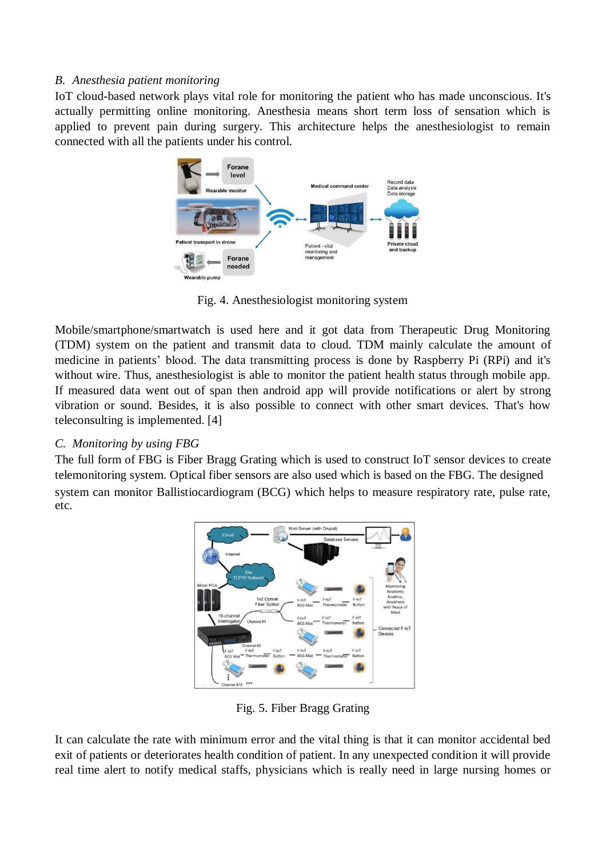## *B. Anesthesia patient monitoring*

IoT cloud-based network plays vital role for monitoring the patient who has made unconscious. It's actually permitting online monitoring. Anesthesia means short term loss of sensation which is applied to prevent pain during surgery. This architecture helps the anesthesiologist to remain connected with all the patients under his control.



Fig. 4. Anesthesiologist monitoring system

Mobile/smartphone/smartwatch is used here and it got data from Therapeutic Drug Monitoring (TDM) system on the patient and transmit data to cloud. TDM mainly calculate the amount of medicine in patients' blood. The data transmitting process is done by Raspberry Pi (RPi) and it's without wire. Thus, anesthesiologist is able to monitor the patient health status through mobile app. If measured data went out of span then android app will provide notifications or alert by strong vibration or sound. Besides, it is also possible to connect with other smart devices. That's how teleconsulting is implemented. [4]

# *C. Monitoring by using FBG*

The full form of FBG is Fiber Bragg Grating which is used to construct IoT sensor devices to create telemonitoring system. Optical fiber sensors are also used which is based on the FBG. The designed system can monitor Ballistiocardiogram (BCG) which helps to measure respiratory rate, pulse rate, etc.



Fig. 5. Fiber Bragg Grating

It can calculate the rate with minimum error and the vital thing is that it can monitor accidental bed exit of patients or deteriorates health condition of patient. In any unexpected condition it will provide real time alert to notify medical staffs, physicians which is really need in large nursing homes or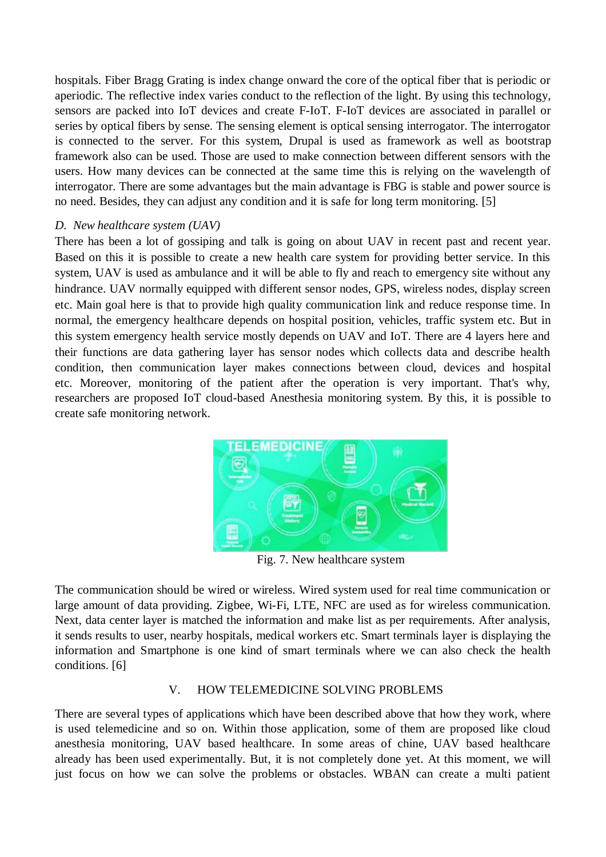hospitals. Fiber Bragg Grating is index change onward the core of the optical fiber that is periodic or aperiodic. The reflective index varies conduct to the reflection of the light. By using this technology, sensors are packed into IoT devices and create F-IoT. F-IoT devices are associated in parallel or series by optical fibers by sense. The sensing element is optical sensing interrogator. The interrogator is connected to the server. For this system, Drupal is used as framework as well as bootstrap framework also can be used. Those are used to make connection between different sensors with the users. How many devices can be connected at the same time this is relying on the wavelength of interrogator. There are some advantages but the main advantage is FBG is stable and power source is no need. Besides, they can adjust any condition and it is safe for long term monitoring. [5]

## *D. New healthcare system (UAV)*

There has been a lot of gossiping and talk is going on about UAV in recent past and recent year. Based on this it is possible to create a new health care system for providing better service. In this system, UAV is used as ambulance and it will be able to fly and reach to emergency site without any hindrance. UAV normally equipped with different sensor nodes, GPS, wireless nodes, display screen etc. Main goal here is that to provide high quality communication link and reduce response time. In normal, the emergency healthcare depends on hospital position, vehicles, traffic system etc. But in this system emergency health service mostly depends on UAV and IoT. There are 4 layers here and their functions are data gathering layer has sensor nodes which collects data and describe health condition, then communication layer makes connections between cloud, devices and hospital etc. Moreover, monitoring of the patient after the operation is very important. That's why, researchers are proposed IoT cloud-based Anesthesia monitoring system. By this, it is possible to create safe monitoring network.



Fig. 7. New healthcare system

The communication should be wired or wireless. Wired system used for real time communication or large amount of data providing. Zigbee, Wi-Fi, LTE, NFC are used as for wireless communication. Next, data center layer is matched the information and make list as per requirements. After analysis, it sends results to user, nearby hospitals, medical workers etc. Smart terminals layer is displaying the information and Smartphone is one kind of smart terminals where we can also check the health conditions. [6]

# V. HOW TELEMEDICINE SOLVING PROBLEMS

There are several types of applications which have been described above that how they work, where is used telemedicine and so on. Within those application, some of them are proposed like cloud anesthesia monitoring, UAV based healthcare. In some areas of chine, UAV based healthcare already has been used experimentally. But, it is not completely done yet. At this moment, we will just focus on how we can solve the problems or obstacles. WBAN can create a multi patient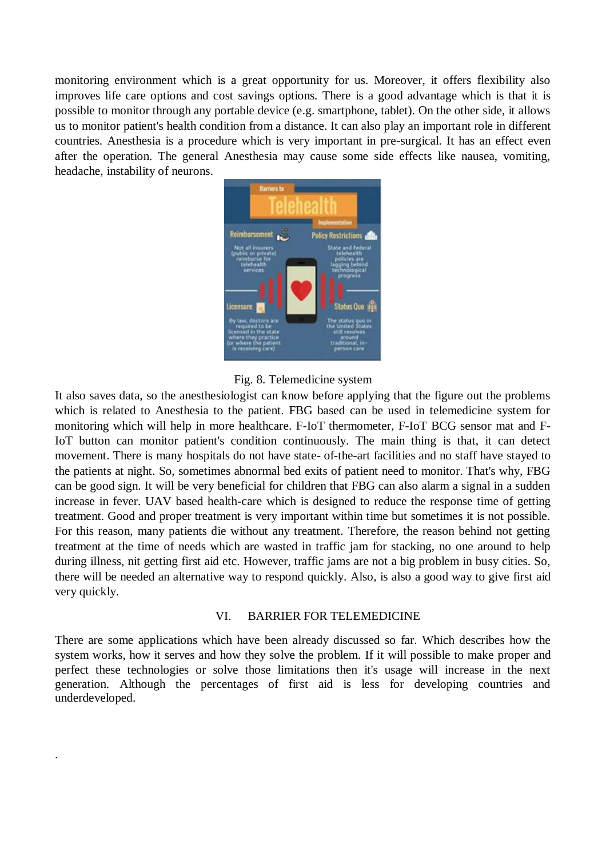monitoring environment which is a great opportunity for us. Moreover, it offers flexibility also improves life care options and cost savings options. There is a good advantage which is that it is possible to monitor through any portable device (e.g. smartphone, tablet). On the other side, it allows us to monitor patient's health condition from a distance. It can also play an important role in different countries. Anesthesia is a procedure which is very important in pre-surgical. It has an effect even after the operation. The general Anesthesia may cause some side effects like nausea, vomiting, headache, instability of neurons.





It also saves data, so the anesthesiologist can know before applying that the figure out the problems which is related to Anesthesia to the patient. FBG based can be used in telemedicine system for monitoring which will help in more healthcare. F-IoT thermometer, F-IoT BCG sensor mat and F-IoT button can monitor patient's condition continuously. The main thing is that, it can detect movement. There is many hospitals do not have state- of-the-art facilities and no staff have stayed to the patients at night. So, sometimes abnormal bed exits of patient need to monitor. That's why, FBG can be good sign. It will be very beneficial for children that FBG can also alarm a signal in a sudden increase in fever. UAV based health-care which is designed to reduce the response time of getting treatment. Good and proper treatment is very important within time but sometimes it is not possible. For this reason, many patients die without any treatment. Therefore, the reason behind not getting treatment at the time of needs which are wasted in traffic jam for stacking, no one around to help during illness, nit getting first aid etc. However, traffic jams are not a big problem in busy cities. So, there will be needed an alternative way to respond quickly. Also, is also a good way to give first aid very quickly.

## VI. BARRIER FOR TELEMEDICINE

There are some applications which have been already discussed so far. Which describes how the system works, how it serves and how they solve the problem. If it will possible to make proper and perfect these technologies or solve those limitations then it's usage will increase in the next generation. Although the percentages of first aid is less for developing countries and underdeveloped.

.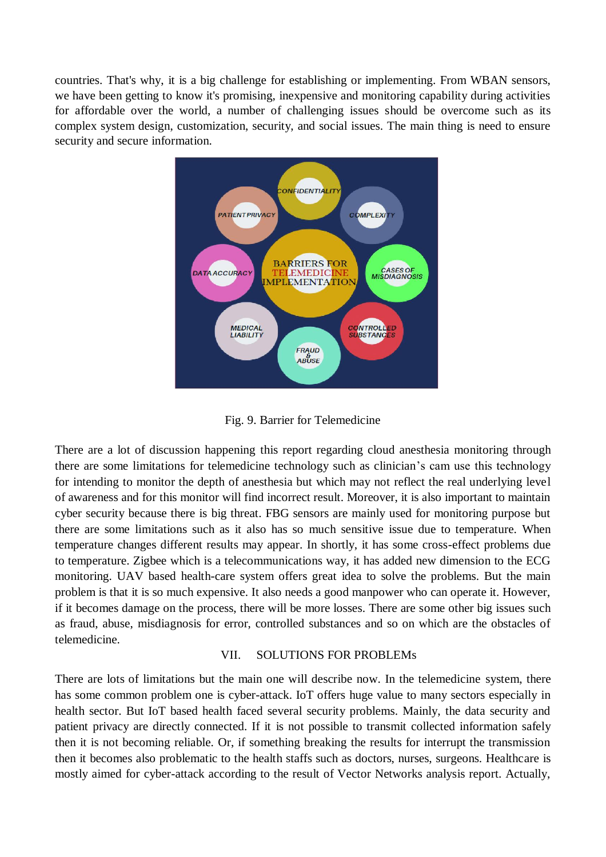countries. That's why, it is a big challenge for establishing or implementing. From WBAN sensors, we have been getting to know it's promising, inexpensive and monitoring capability during activities for affordable over the world, a number of challenging issues should be overcome such as its complex system design, customization, security, and social issues. The main thing is need to ensure security and secure information.



Fig. 9. Barrier for Telemedicine

There are a lot of discussion happening this report regarding cloud anesthesia monitoring through there are some limitations for telemedicine technology such as clinician's cam use this technology for intending to monitor the depth of anesthesia but which may not reflect the real underlying level of awareness and for this monitor will find incorrect result. Moreover, it is also important to maintain cyber security because there is big threat. FBG sensors are mainly used for monitoring purpose but there are some limitations such as it also has so much sensitive issue due to temperature. When temperature changes different results may appear. In shortly, it has some cross-effect problems due to temperature. Zigbee which is a telecommunications way, it has added new dimension to the ECG monitoring. UAV based health-care system offers great idea to solve the problems. But the main problem is that it is so much expensive. It also needs a good manpower who can operate it. However, if it becomes damage on the process, there will be more losses. There are some other big issues such as fraud, abuse, misdiagnosis for error, controlled substances and so on which are the obstacles of telemedicine.

### VII. SOLUTIONS FOR PROBLEMs

There are lots of limitations but the main one will describe now. In the telemedicine system, there has some common problem one is cyber-attack. IoT offers huge value to many sectors especially in health sector. But IoT based health faced several security problems. Mainly, the data security and patient privacy are directly connected. If it is not possible to transmit collected information safely then it is not becoming reliable. Or, if something breaking the results for interrupt the transmission then it becomes also problematic to the health staffs such as doctors, nurses, surgeons. Healthcare is mostly aimed for cyber-attack according to the result of Vector Networks analysis report. Actually,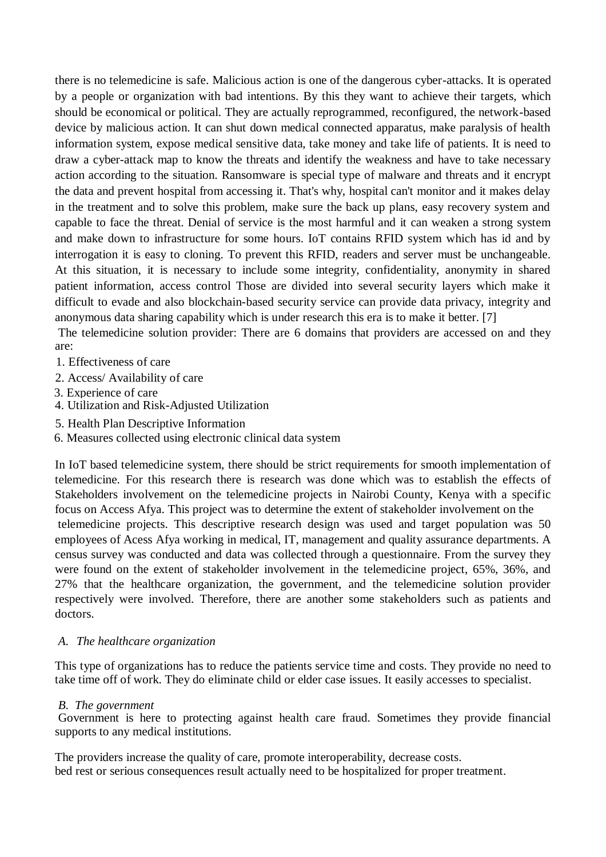there is no telemedicine is safe. Malicious action is one of the dangerous cyber-attacks. It is operated by a people or organization with bad intentions. By this they want to achieve their targets, which should be economical or political. They are actually reprogrammed, reconfigured, the network-based device by malicious action. It can shut down medical connected apparatus, make paralysis of health information system, expose medical sensitive data, take money and take life of patients. It is need to draw a cyber-attack map to know the threats and identify the weakness and have to take necessary action according to the situation. Ransomware is special type of malware and threats and it encrypt the data and prevent hospital from accessing it. That's why, hospital can't monitor and it makes delay in the treatment and to solve this problem, make sure the back up plans, easy recovery system and capable to face the threat. Denial of service is the most harmful and it can weaken a strong system and make down to infrastructure for some hours. IoT contains RFID system which has id and by interrogation it is easy to cloning. To prevent this RFID, readers and server must be unchangeable. At this situation, it is necessary to include some integrity, confidentiality, anonymity in shared patient information, access control Those are divided into several security layers which make it difficult to evade and also blockchain-based security service can provide data privacy, integrity and anonymous data sharing capability which is under research this era is to make it better. [7]

The telemedicine solution provider: There are 6 domains that providers are accessed on and they are:

- 1. Effectiveness of care
- 2. Access/ Availability of care
- 3. Experience of care
- 4. Utilization and Risk-Adjusted Utilization
- 5. Health Plan Descriptive Information
- 6. Measures collected using electronic clinical data system

In IoT based telemedicine system, there should be strict requirements for smooth implementation of telemedicine. For this research there is research was done which was to establish the effects of Stakeholders involvement on the telemedicine projects in Nairobi County, Kenya with a specific focus on Access Afya. This project was to determine the extent of stakeholder involvement on the telemedicine projects. This descriptive research design was used and target population was 50 employees of Acess Afya working in medical, IT, management and quality assurance departments. A census survey was conducted and data was collected through a questionnaire. From the survey they were found on the extent of stakeholder involvement in the telemedicine project, 65%, 36%, and 27% that the healthcare organization, the government, and the telemedicine solution provider respectively were involved. Therefore, there are another some stakeholders such as patients and doctors.

## *A. The healthcare organization*

This type of organizations has to reduce the patients service time and costs. They provide no need to take time off of work. They do eliminate child or elder case issues. It easily accesses to specialist.

## *B. The government*

Government is here to protecting against health care fraud. Sometimes they provide financial supports to any medical institutions.

The providers increase the quality of care, promote interoperability, decrease costs. bed rest or serious consequences result actually need to be hospitalized for proper treatment.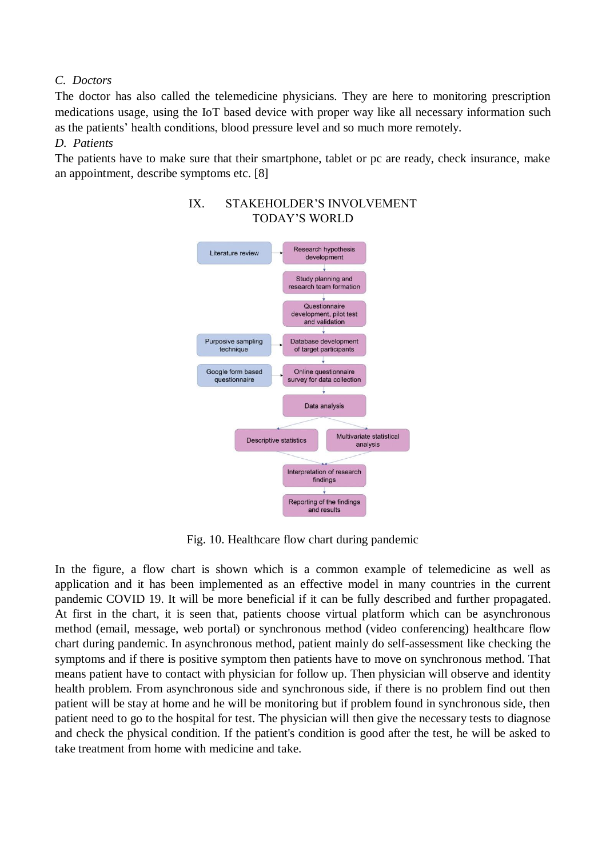## *C. Doctors*

The doctor has also called the telemedicine physicians. They are here to monitoring prescription medications usage, using the IoT based device with proper way like all necessary information such as the patients' health conditions, blood pressure level and so much more remotely.

## *D. Patients*

The patients have to make sure that their smartphone, tablet or pc are ready, check insurance, make an appointment, describe symptoms etc. [8]



# IX. STAKEHOLDER'S INVOLVEMENT TODAY'S WORLD

Fig. 10. Healthcare flow chart during pandemic

In the figure, a flow chart is shown which is a common example of telemedicine as well as application and it has been implemented as an effective model in many countries in the current pandemic COVID 19. It will be more beneficial if it can be fully described and further propagated. At first in the chart, it is seen that, patients choose virtual platform which can be asynchronous method (email, message, web portal) or synchronous method (video conferencing) healthcare flow chart during pandemic. In asynchronous method, patient mainly do self-assessment like checking the symptoms and if there is positive symptom then patients have to move on synchronous method. That means patient have to contact with physician for follow up. Then physician will observe and identity health problem. From asynchronous side and synchronous side, if there is no problem find out then patient will be stay at home and he will be monitoring but if problem found in synchronous side, then patient need to go to the hospital for test. The physician will then give the necessary tests to diagnose and check the physical condition. If the patient's condition is good after the test, he will be asked to take treatment from home with medicine and take.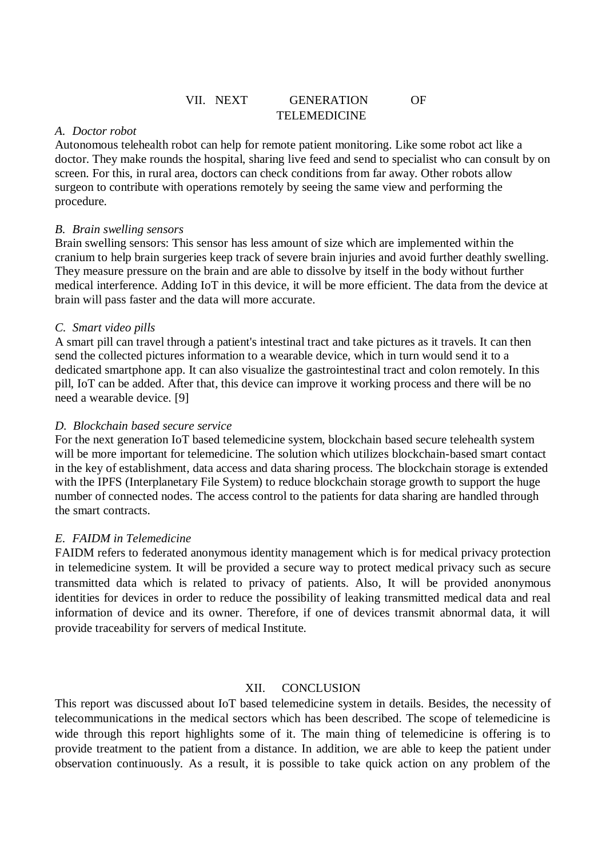# VII. NEXT GENERATION OF TELEMEDICINE

## *A. Doctor robot*

Autonomous telehealth robot can help for remote patient monitoring. Like some robot act like a doctor. They make rounds the hospital, sharing live feed and send to specialist who can consult by on screen. For this, in rural area, doctors can check conditions from far away. Other robots allow surgeon to contribute with operations remotely by seeing the same view and performing the procedure.

## *B. Brain swelling sensors*

Brain swelling sensors: This sensor has less amount of size which are implemented within the cranium to help brain surgeries keep track of severe brain injuries and avoid further deathly swelling. They measure pressure on the brain and are able to dissolve by itself in the body without further medical interference. Adding IoT in this device, it will be more efficient. The data from the device at brain will pass faster and the data will more accurate.

## *C. Smart video pills*

A smart pill can travel through a patient's intestinal tract and take pictures as it travels. It can then send the collected pictures information to a wearable device, which in turn would send it to a dedicated smartphone app. It can also visualize the gastrointestinal tract and colon remotely. In this pill, IoT can be added. After that, this device can improve it working process and there will be no need a wearable device. [9]

## *D. Blockchain based secure service*

For the next generation IoT based telemedicine system, blockchain based secure telehealth system will be more important for telemedicine. The solution which utilizes blockchain-based smart contact in the key of establishment, data access and data sharing process. The blockchain storage is extended with the IPFS (Interplanetary File System) to reduce blockchain storage growth to support the huge number of connected nodes. The access control to the patients for data sharing are handled through the smart contracts.

# *E. FAIDM in Telemedicine*

FAIDM refers to federated anonymous identity management which is for medical privacy protection in telemedicine system. It will be provided a secure way to protect medical privacy such as secure transmitted data which is related to privacy of patients. Also, It will be provided anonymous identities for devices in order to reduce the possibility of leaking transmitted medical data and real information of device and its owner. Therefore, if one of devices transmit abnormal data, it will provide traceability for servers of medical Institute.

## XII. CONCLUSION

This report was discussed about IoT based telemedicine system in details. Besides, the necessity of telecommunications in the medical sectors which has been described. The scope of telemedicine is wide through this report highlights some of it. The main thing of telemedicine is offering is to provide treatment to the patient from a distance. In addition, we are able to keep the patient under observation continuously. As a result, it is possible to take quick action on any problem of the